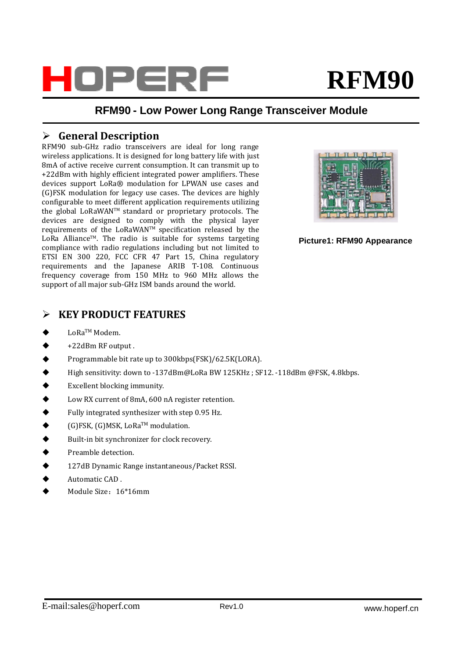

# **RFM90**

### **RFM90 - Low Power Long Range Transceiver Module**

#### **General Description**

RFM90 sub-GHz radio transceivers are ideal for long range wireless applications. It is designed for long battery life with just 8mA of active receive current consumption. It can transmit up to +22dBm with highly efficient integrated power amplifiers. These devices support LoRa® modulation for LPWAN use cases and (G)FSK modulation for legacy use cases. The devices are highly configurable to meet different application requirements utilizing the global LoRaWANTM standard or proprietary protocols. The devices are designed to comply with the physical layer requirements of the LoRaWANTM specification released by the LoRa Alliance™. The radio is suitable for systems targeting compliance with radio regulations including but not limited to ETSI EN 300 220, FCC CFR 47 Part 15, China regulatory requirements and the Japanese ARIB T-108. Continuous frequency coverage from 150 MHz to 960 MHz allows the support of all major sub-GHz ISM bands around the world.



**Picture1: RFM90 Appearance**

### **KEY PRODUCT FEATURES**

- $\blacklozenge$ LoRaTM Modem.
- $\blacklozenge$ +22dBm RF output .
- $\blacklozenge$ Programmable bit rate up to 300kbps(FSK)/62.5K(LORA).
- $\blacklozenge$ High sensitivity: down to -137dBm@LoRa BW 125KHz ; SF12. -118dBm @FSK, 4.8kbps.
- $\blacklozenge$ Excellent blocking immunity.
- $\blacklozenge$ Low RX current of 8mA, 600 nA register retention.
- $\blacklozenge$ Fully integrated synthesizer with step 0.95 Hz.
- $\blacklozenge$ (G)FSK, (G)MSK, LoRaTM modulation.
- $\blacklozenge$ Built-in bit synchronizer for clock recovery.
- $\ddot{\bullet}$ Preamble detection.
- $\ddot{\bullet}$ 127dB Dynamic Range instantaneous/Packet RSSI.
- $\blacklozenge$ Automatic CAD .
- $\blacklozenge$ Module Size:16\*16mm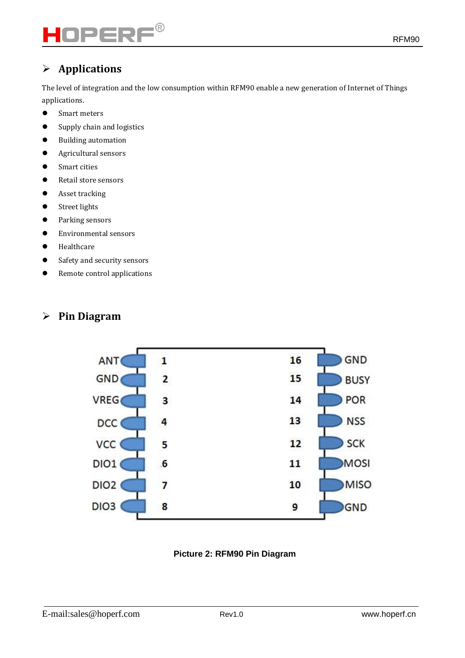# $\mathsf{PERF}^\circ$

## **Applications**

The level of integration and the low consumption within RFM90 enable a new generation of Internet of Things applications.

- Smart meters
- Supply chain and logistics
- Building automation
- Agricultural sensors
- Smart cities
- Retail store sensors
- **•** Asset tracking
- **•** Street lights
- Parking sensors
- Environmental sensors
- **•** Healthcare
- Safety and security sensors
- Remote control applications

## **Pin Diagram**



#### **Picture 2: RFM90 Pin Diagram**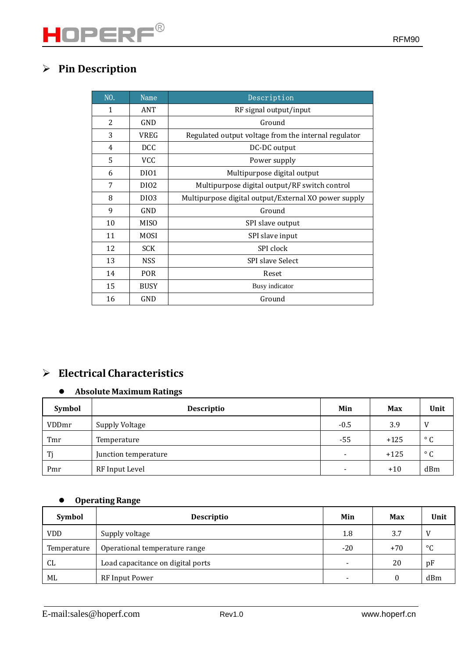| NO. | Name             | Description                                          |  |
|-----|------------------|------------------------------------------------------|--|
| 1   | ANT              | RF signal output/input                               |  |
| 2   | GND              | Ground                                               |  |
| 3   | <b>VREG</b>      | Regulated output voltage from the internal regulator |  |
| 4   | <b>DCC</b>       | DC-DC output                                         |  |
| 5   | <b>VCC</b>       | Power supply                                         |  |
| 6   | DI01             | Multipurpose digital output                          |  |
| 7   | DI <sub>02</sub> | Multipurpose digital output/RF switch control        |  |
| 8   | D <sub>I03</sub> | Multipurpose digital output/External XO power supply |  |
| 9   | GND              | Ground                                               |  |
| 10  | <b>MISO</b>      | SPI slave output                                     |  |
| 11  | <b>MOSI</b>      | SPI slave input                                      |  |
| 12  | <b>SCK</b>       | SPI clock                                            |  |
| 13  | <b>NSS</b>       | <b>SPI slave Select</b>                              |  |
| 14  | <b>POR</b>       | Reset                                                |  |
| 15  | <b>BUSY</b>      | Busy indicator                                       |  |
| 16  | GND              | Ground                                               |  |

## **Electrical Characteristics**

#### **Absolute Maximum Ratings**

| <b>Symbol</b> | <b>Descriptio</b>    | Min    | <b>Max</b> | Unit         |
|---------------|----------------------|--------|------------|--------------|
| <b>VDDmr</b>  | Supply Voltage       | $-0.5$ | 3.9        | V            |
| Tmr           | Temperature          | -55    | $+125$     | $^{\circ}$ C |
| Ti            | Junction temperature | -      | $+125$     | $^{\circ}$ C |
| Pmr           | RF Input Level       |        | $+10$      | dBm          |

#### **Operating Range**

| Symbol      | <b>Descriptio</b>                 | Min                      | Max   | Unit |
|-------------|-----------------------------------|--------------------------|-------|------|
| <b>VDD</b>  | Supply voltage                    | 1.8                      | 3.7   | V    |
| Temperature | Operational temperature range     | $-20$                    | $+70$ | °C   |
| CL          | Load capacitance on digital ports |                          | 20    | pF   |
| ML          | RF Input Power                    | $\overline{\phantom{0}}$ |       | dBm  |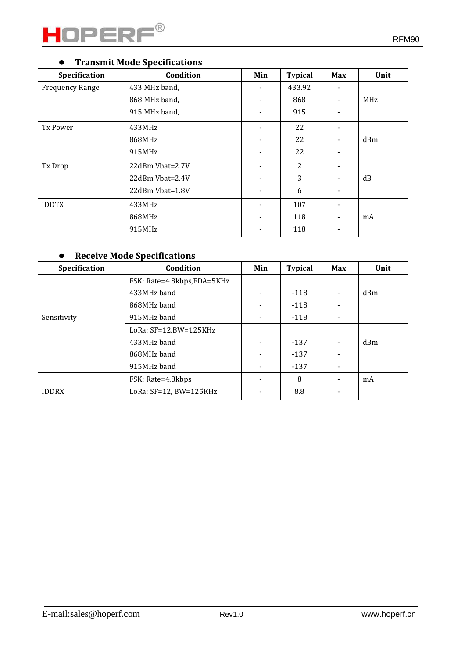

## **Transmit Mode Specifications**

| Specification          | Condition       | Min | <b>Typical</b> | <b>Max</b>               | Unit       |
|------------------------|-----------------|-----|----------------|--------------------------|------------|
| <b>Frequency Range</b> | 433 MHz band,   |     | 433.92         |                          |            |
|                        | 868 MHz band,   |     | 868            | $\blacksquare$           | <b>MHz</b> |
|                        | 915 MHz band,   |     | 915            | $\blacksquare$           |            |
| Tx Power               | 433MHz          |     | 22             | $\blacksquare$           |            |
|                        | 868MHz          |     | 22             | $\blacksquare$           | dBm        |
|                        | 915MHz          |     | 22             | $\blacksquare$           |            |
| Tx Drop                | 22dBm Vbat=2.7V |     | 2              |                          |            |
|                        | 22dBm Vbat=2.4V |     | 3              | $\blacksquare$           | dB         |
|                        | 22dBm Vbat=1.8V |     | 6              | $\overline{\phantom{0}}$ |            |
| <b>IDDTX</b>           | 433MHz          |     | 107            | $\blacksquare$           |            |
|                        | 868MHz          |     | 118            | $\overline{\phantom{a}}$ | mA         |
|                        | 915MHz          |     | 118            | $\overline{\phantom{0}}$ |            |

## **Receive Mode Specifications**

| Specification | Condition                  | Min | <b>Typical</b> | <b>Max</b>                   | Unit |
|---------------|----------------------------|-----|----------------|------------------------------|------|
|               | FSK: Rate=4.8kbps,FDA=5KHz |     |                |                              |      |
|               | 433MHz band                |     | $-118$         | $\overline{\phantom{a}}$     | dBm  |
|               | 868MHz band                |     | $-118$         |                              |      |
| Sensitivity   | 915MHz band                |     | $-118$         | $\overline{\phantom{a}}$     |      |
|               | LoRa: $SF=12,BW=125KHz$    |     |                |                              |      |
|               | 433MHz band                |     | -137           | $\overline{\phantom{a}}$     | dBm  |
|               | 868MHz band                |     | $-137$         | $\qquad \qquad \blacksquare$ |      |
|               | 915MHz band                |     | $-137$         |                              |      |
|               | FSK: Rate=4.8kbps          |     | 8              |                              | mA   |
| <b>IDDRX</b>  | LoRa: SF=12, BW=125KHz     |     | 8.8            | -                            |      |